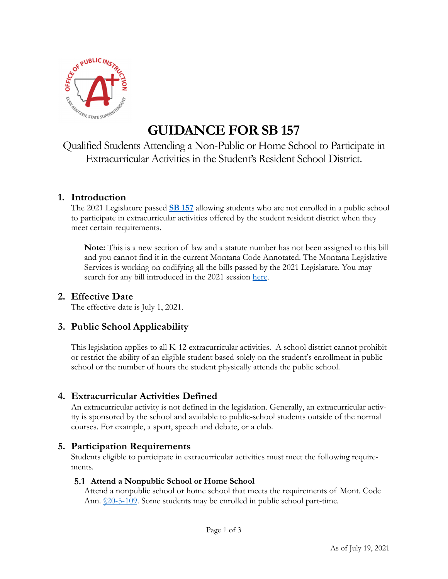

# **GUIDANCE FOR SB 157**

Qualified Students Attending a Non-Public or Home School to Participate in Extracurricular Activities in the Student's Resident School District.

## **1. Introduction**

The 2021 Legislature passed **SB 157** allowing students who are not enrolled in a public school to participate in extracurricular activities offered by the student resident district when they meet certain requirements.

**Note:** This is a new section of law and a statute number has not been assigned to this bill and you cannot find it in the current Montana Code Annotated. The Montana Legislative Services is working on codifying all the bills passed by the 2021 Legislature. You may search for any bill introduced in the 2021 session here.

## **2. Effective Date**

The effective date is July 1, 2021.

# **3. Public School Applicability**

This legislation applies to all K-12 extracurricular activities. A school district cannot prohibit or restrict the ability of an eligible student based solely on the student's enrollment in public school or the number of hours the student physically attends the public school.

# **4. Extracurricular Activities Defined**

An extracurricular activity is not defined in the legislation. Generally, an extracurricular activity is sponsored by the school and available to public-school students outside of the normal courses. For example, a sport, speech and debate, or a club.

## **5. Participation Requirements**

Students eligible to participate in extracurricular activities must meet the following requirements.

### **Attend a Nonpublic School or Home School**

Attend a nonpublic school or home school that meets the requirements of Mont. Code Ann. <u>§20-5-109</u>. Some students may be enrolled in public school part-time.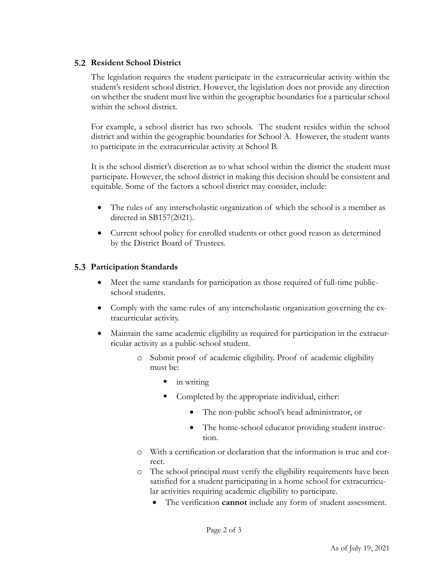#### **5.2 Resident School District**

The legislation requires the student participate in the extracurricular activity within the student's resident school district. However, the legislation does not provide any direction on whether the student must live within the geographic boundaries for a particular school within the school district.

For example, a school district has two schools. The student resides within the school district and within the geographic boundaries for School A. However, the student wants to participate in the extracurricular activity at School B.

It is the school district's discretion as to what school within the district the student must participate. However, the school district in making this decision should be consistent and equitable. Some of the factors a school district may consider, include:

- The rules of any interscholastic organization of which the school is a member as directed in SB157(2021).
- Current school policy for enrolled students or other good reason as determined by the District Board of Trustees.

#### **Participation Standards**

- Meet the same standards for participation as those required of full-time publicschool students.
- Comply with the same rules of any interscholastic organization governing the extracurricular activity.
- Maintain the same academic eligibility as required for participation in the extracurricular activity as a public-school student.
	- o Submit proof of academic eligibility. Proof of academic eligibility must be:
		- in writing
		- Completed by the appropriate individual, either:
			- The non-public school's head administrator, or
			- The home-school educator providing student instruction.
	- o With a certification or declaration that the information is true and correct.
	- o The school principal must verify the eligibility requirements have been satisfied for a student participating in a home school for extracurricular activities requiring academic eligibility to participate.
		- The verification **cannot** include any form of student assessment.